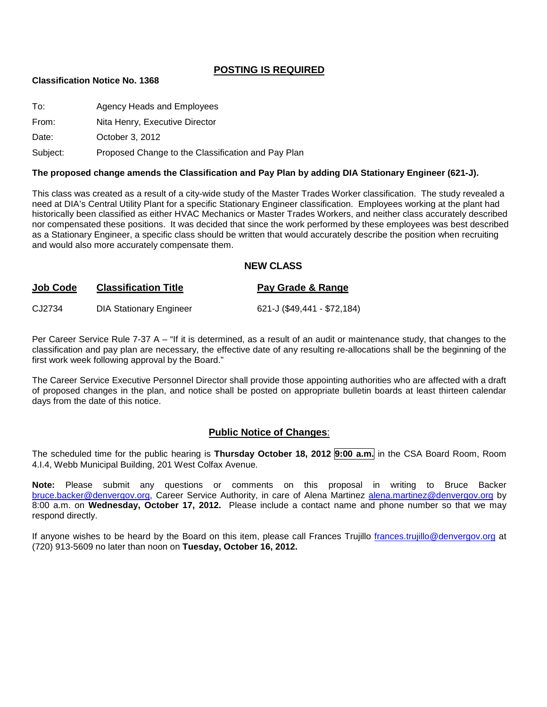#### **POSTING IS REQUIRED**

#### **Classification Notice No. 1368**

| To:      | Agency Heads and Employees                         |
|----------|----------------------------------------------------|
| From:    | Nita Henry, Executive Director                     |
| Date:    | October 3, 2012                                    |
| Subject: | Proposed Change to the Classification and Pay Plan |

#### **The proposed change amends the Classification and Pay Plan by adding DIA Stationary Engineer (621-J).**

This class was created as a result of a city-wide study of the Master Trades Worker classification. The study revealed a need at DIA's Central Utility Plant for a specific Stationary Engineer classification. Employees working at the plant had historically been classified as either HVAC Mechanics or Master Trades Workers, and neither class accurately described nor compensated these positions. It was decided that since the work performed by these employees was best described as a Stationary Engineer, a specific class should be written that would accurately describe the position when recruiting and would also more accurately compensate them.

#### **NEW CLASS**

| Job Code | <b>Classification Title</b>    | Pay Grade & Range           |
|----------|--------------------------------|-----------------------------|
| CJ2734   | <b>DIA Stationary Engineer</b> | 621-J (\$49,441 - \$72,184) |

Per Career Service Rule 7-37 A – "If it is determined, as a result of an audit or maintenance study, that changes to the classification and pay plan are necessary, the effective date of any resulting re-allocations shall be the beginning of the first work week following approval by the Board."

The Career Service Executive Personnel Director shall provide those appointing authorities who are affected with a draft of proposed changes in the plan, and notice shall be posted on appropriate bulletin boards at least thirteen calendar days from the date of this notice.

#### **Public Notice of Changes**:

The scheduled time for the public hearing is **Thursday October 18, 2012 9:00 a.m.** in the CSA Board Room, Room 4.I.4, Webb Municipal Building, 201 West Colfax Avenue.

**Note:** Please submit any questions or comments on this proposal in writing to Bruce Backer [bruce.backer@denvergov.org,](mailto:bruce.backer@denvergov.org) Career Service Authority, in care of Alena Martinez [alena.martinez@denvergov.org](mailto:alena.martinez@denvergov.org) by 8:00 a.m. on **Wednesday, October 17, 2012.** Please include a contact name and phone number so that we may respond directly.

If anyone wishes to be heard by the Board on this item, please call Frances Trujillo [frances.trujillo@denvergov.org](mailto:frances.trujillo@denvergov.org) at (720) 913-5609 no later than noon on **Tuesday, October 16, 2012.**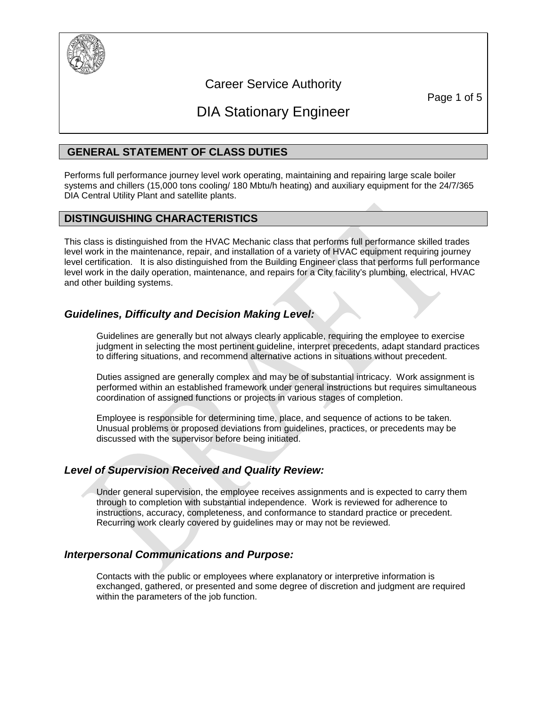

# Career Service Authority

Page 1 of 5

# DIA Stationary Engineer

# **GENERAL STATEMENT OF CLASS DUTIES**

Performs full performance journey level work operating, maintaining and repairing large scale boiler systems and chillers (15,000 tons cooling/ 180 Mbtu/h heating) and auxiliary equipment for the 24/7/365 DIA Central Utility Plant and satellite plants.

# **DISTINGUISHING CHARACTERISTICS**

This class is distinguished from the HVAC Mechanic class that performs full performance skilled trades level work in the maintenance, repair, and installation of a variety of HVAC equipment requiring journey level certification. It is also distinguished from the Building Engineer class that performs full performance level work in the daily operation, maintenance, and repairs for a City facility's plumbing, electrical, HVAC and other building systems.

# *Guidelines, Difficulty and Decision Making Level:*

Guidelines are generally but not always clearly applicable, requiring the employee to exercise judgment in selecting the most pertinent guideline, interpret precedents, adapt standard practices to differing situations, and recommend alternative actions in situations without precedent.

Duties assigned are generally complex and may be of substantial intricacy. Work assignment is performed within an established framework under general instructions but requires simultaneous coordination of assigned functions or projects in various stages of completion.

Employee is responsible for determining time, place, and sequence of actions to be taken. Unusual problems or proposed deviations from guidelines, practices, or precedents may be discussed with the supervisor before being initiated.

# *Level of Supervision Received and Quality Review:*

Under general supervision, the employee receives assignments and is expected to carry them through to completion with substantial independence. Work is reviewed for adherence to instructions, accuracy, completeness, and conformance to standard practice or precedent. Recurring work clearly covered by guidelines may or may not be reviewed.

# *Interpersonal Communications and Purpose:*

Contacts with the public or employees where explanatory or interpretive information is exchanged, gathered, or presented and some degree of discretion and judgment are required within the parameters of the job function.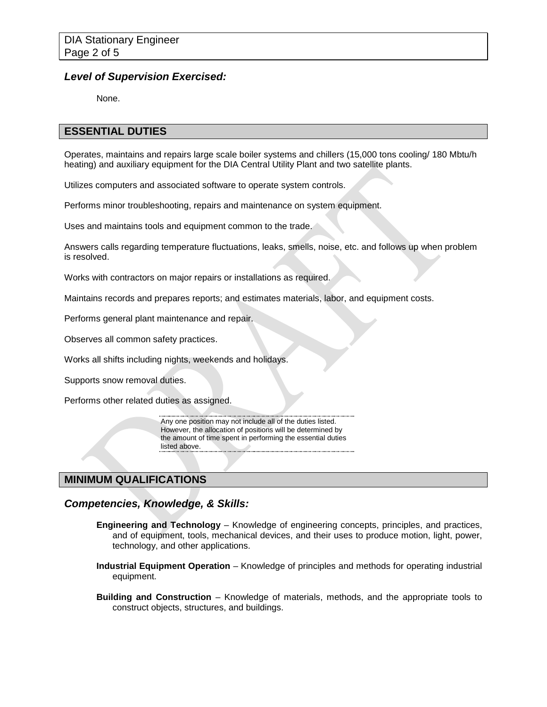#### *Level of Supervision Exercised:*

None.

#### **ESSENTIAL DUTIES**

Operates, maintains and repairs large scale boiler systems and chillers (15,000 tons cooling/ 180 Mbtu/h heating) and auxiliary equipment for the DIA Central Utility Plant and two satellite plants.

Utilizes computers and associated software to operate system controls.

Performs minor troubleshooting, repairs and maintenance on system equipment.

Uses and maintains tools and equipment common to the trade.

Answers calls regarding temperature fluctuations, leaks, smells, noise, etc. and follows up when problem is resolved.

Works with contractors on major repairs or installations as required.

Maintains records and prepares reports; and estimates materials, labor, and equipment costs.

Performs general plant maintenance and repair.

Observes all common safety practices.

Works all shifts including nights, weekends and holidays.

Supports snow removal duties.

Performs other related duties as assigned.

Any one position may not include all of the duties listed. However, the allocation of positions will be determined by the amount of time spent in performing the essential duties listed above.

#### **MINIMUM QUALIFICATIONS**

#### *Competencies, Knowledge, & Skills:*

- **Engineering and Technology** Knowledge of engineering concepts, principles, and practices, and of equipment, tools, mechanical devices, and their uses to produce motion, light, power, technology, and other applications.
- **Industrial Equipment Operation** Knowledge of principles and methods for operating industrial equipment.
- **Building and Construction** Knowledge of materials, methods, and the appropriate tools to construct objects, structures, and buildings.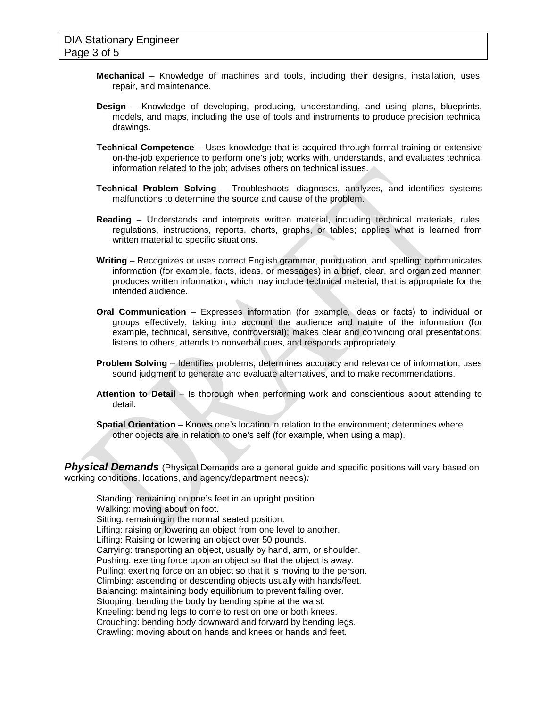- **Mechanical** Knowledge of machines and tools, including their designs, installation, uses, repair, and maintenance.
- **Design** Knowledge of developing, producing, understanding, and using plans, blueprints, models, and maps, including the use of tools and instruments to produce precision technical drawings.
- **Technical Competence** Uses knowledge that is acquired through formal training or extensive on-the-job experience to perform one's job; works with, understands, and evaluates technical information related to the job; advises others on technical issues.
- **Technical Problem Solving** Troubleshoots, diagnoses, analyzes, and identifies systems malfunctions to determine the source and cause of the problem.
- **Reading**  Understands and interprets written material, including technical materials, rules, regulations, instructions, reports, charts, graphs, or tables; applies what is learned from written material to specific situations.
- **Writing** Recognizes or uses correct English grammar, punctuation, and spelling; communicates information (for example, facts, ideas, or messages) in a brief, clear, and organized manner; produces written information, which may include technical material, that is appropriate for the intended audience.
- **Oral Communication** Expresses information (for example, ideas or facts) to individual or groups effectively, taking into account the audience and nature of the information (for example, technical, sensitive, controversial); makes clear and convincing oral presentations; listens to others, attends to nonverbal cues, and responds appropriately.
- **Problem Solving** Identifies problems; determines accuracy and relevance of information; uses sound judgment to generate and evaluate alternatives, and to make recommendations.
- **Attention to Detail** Is thorough when performing work and conscientious about attending to detail.
- **Spatial Orientation** Knows one's location in relation to the environment; determines where other objects are in relation to one's self (for example, when using a map).

**Physical Demands** (Physical Demands are a general guide and specific positions will vary based on working conditions, locations, and agency/department needs)*:*

Standing: remaining on one's feet in an upright position. Walking: moving about on foot. Sitting: remaining in the normal seated position. Lifting: raising or lowering an object from one level to another. Lifting: Raising or lowering an object over 50 pounds. Carrying: transporting an object, usually by hand, arm, or shoulder. Pushing: exerting force upon an object so that the object is away. Pulling: exerting force on an object so that it is moving to the person. Climbing: ascending or descending objects usually with hands/feet. Balancing: maintaining body equilibrium to prevent falling over. Stooping: bending the body by bending spine at the waist. Kneeling: bending legs to come to rest on one or both knees. Crouching: bending body downward and forward by bending legs. Crawling: moving about on hands and knees or hands and feet.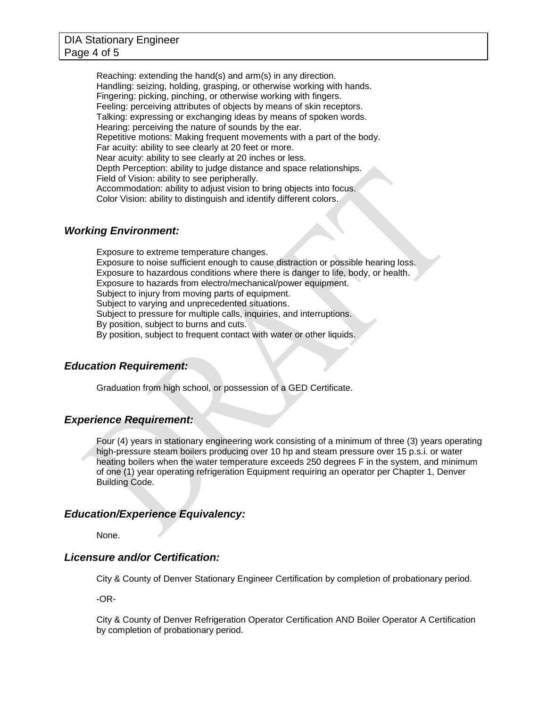#### DIA Stationary Engineer Page 4 of 5

Reaching: extending the hand(s) and arm(s) in any direction. Handling: seizing, holding, grasping, or otherwise working with hands. Fingering: picking, pinching, or otherwise working with fingers. Feeling: perceiving attributes of objects by means of skin receptors. Talking: expressing or exchanging ideas by means of spoken words. Hearing: perceiving the nature of sounds by the ear. Repetitive motions: Making frequent movements with a part of the body. Far acuity: ability to see clearly at 20 feet or more. Near acuity: ability to see clearly at 20 inches or less. Depth Perception: ability to judge distance and space relationships. Field of Vision: ability to see peripherally. Accommodation: ability to adjust vision to bring objects into focus. Color Vision: ability to distinguish and identify different colors.

#### *Working Environment:*

Exposure to extreme temperature changes. Exposure to noise sufficient enough to cause distraction or possible hearing loss. Exposure to hazardous conditions where there is danger to life, body, or health. Exposure to hazards from electro/mechanical/power equipment. Subject to injury from moving parts of equipment. Subject to varying and unprecedented situations. Subject to pressure for multiple calls, inquiries, and interruptions. By position, subject to burns and cuts. By position, subject to frequent contact with water or other liquids.

#### *Education Requirement:*

Graduation from high school, or possession of a GED Certificate.

#### *Experience Requirement:*

Four (4) years in stationary engineering work consisting of a minimum of three (3) years operating high-pressure steam boilers producing over 10 hp and steam pressure over 15 p.s.i. or water heating boilers when the water temperature exceeds 250 degrees F in the system, and minimum of one (1) year operating refrigeration Equipment requiring an operator per Chapter 1, Denver Building Code.

#### *Education/Experience Equivalency:*

None.

#### *Licensure and/or Certification:*

City & County of Denver Stationary Engineer Certification by completion of probationary period.

-OR-

City & County of Denver Refrigeration Operator Certification AND Boiler Operator A Certification by completion of probationary period.